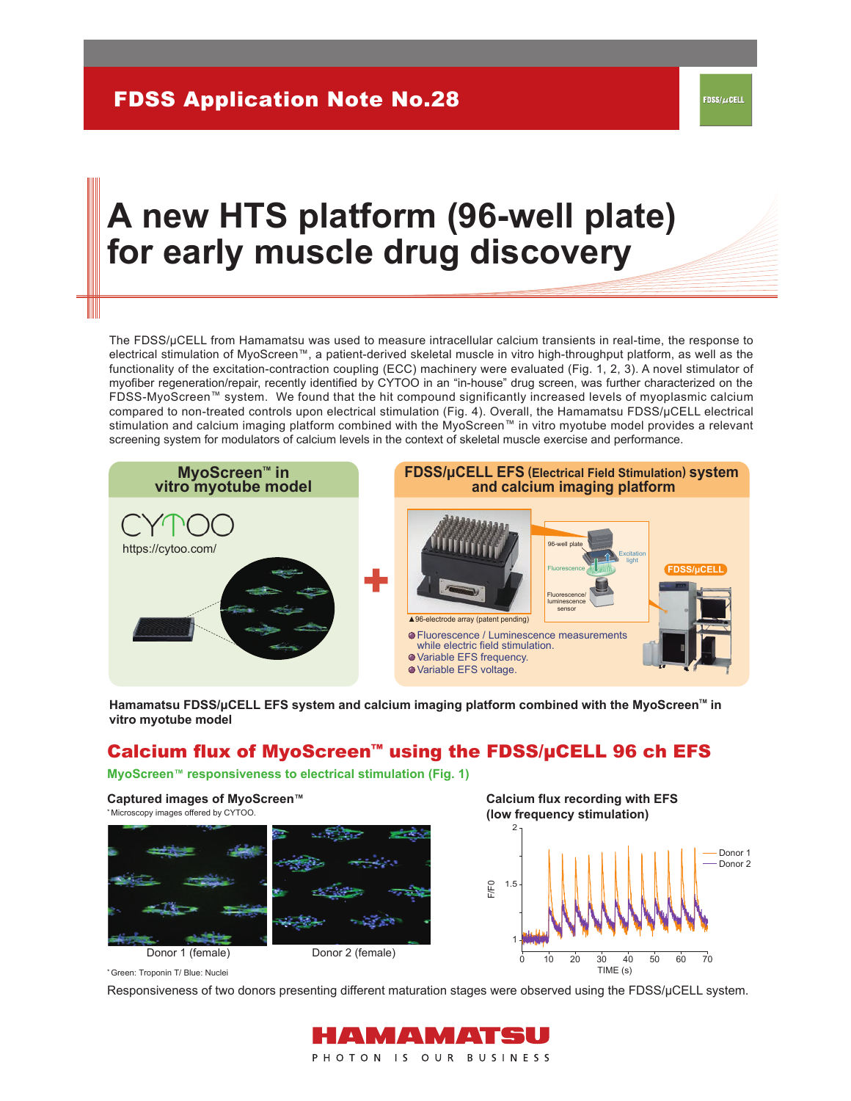### DSS/*L*CELL

# **A new HTS platform (96-well plate) for early muscle drug discovery**

The FDSS/µCELL from Hamamatsu was used to measure intracellular calcium transients in real-time, the response to electrical stimulation of MyoScreen™, a patient-derived skeletal muscle in vitro high-throughput platform, as well as the functionality of the excitation-contraction coupling (ECC) machinery were evaluated (Fig. 1, 2, 3). A novel stimulator of myofiber regeneration/repair, recently identified by CYTOO in an "in-house" drug screen, was further characterized on the FDSS-MyoScreen™ system. We found that the hit compound significantly increased levels of myoplasmic calcium compared to non-treated controls upon electrical stimulation (Fig. 4). Overall, the Hamamatsu FDSS/µCELL electrical stimulation and calcium imaging platform combined with the MyoScreen™ in vitro myotube model provides a relevant screening system for modulators of calcium levels in the context of skeletal muscle exercise and performance.



Hamamatsu FDSS/μCELL EFS system and calcium imaging platform combined with the MyoScreen<sup>™</sup> in **vitro myotube model**

## Calcium flux of MyoScreen™ using the FDSS/µCELL 96 ch EFS

**MyoScreen™ responsiveness to electrical stimulation (Fig. 1)** 

Donor 1 (female) Donor 2 (female) **Calcium flux recording with EFS (low frequency stimulation)** 0 10 1 1.5 2 20 30 40 50 60 70 TIME (s) F/F0 Donor 1 Donor 2 **Captured images of MyoScreen™** \*Microscopy images offered by CYTOO.

Green: Troponin T/ Blue: Nuclei \*

Responsiveness of two donors presenting different maturation stages were observed using the FDSS/μCELL system.